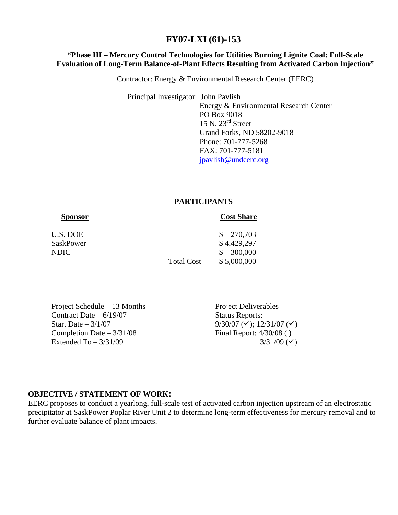# **FY07-LXI (61)-153**

# **"Phase III – Mercury Control Technologies for Utilities Burning Lignite Coal: Full-Scale Evaluation of Long-Term Balance-of-Plant Effects Resulting from Activated Carbon Injection"**

Contractor: Energy & Environmental Research Center (EERC)

 Principal Investigator: John Pavlish Energy & Environmental Research Center PO Box 9018 15 N. 23rd Street Grand Forks, ND 58202-9018 Phone: 701-777-5268 FAX: 701-777-5181 [jpavlish@undeerc.org](mailto:jpavlish@undeerc.org)

### **PARTICIPANTS**

### **Sponsor Cost Share**

| U.S. DOE<br>SaskPower<br>NDIC. | <b>Total Cost</b> | \$270,703<br>\$4,429,297<br>\$300,000<br>\$5,000,000 |
|--------------------------------|-------------------|------------------------------------------------------|
|                                |                   |                                                      |

Project Schedule – 13 Months Project Deliverables Contract Date – 6/19/07 Status Reports: Start Date –  $3/1/07$  9/30/07 ( $\checkmark$ ); 12/31/07 ( $\checkmark$ ) Completion Date –  $\frac{3}{31/08}$  Final Report:  $\frac{4}{30/08}$  ( Extended To  $-3/31/09$  3/31/09 ( $\checkmark$ )

### **OBJECTIVE / STATEMENT OF WORK:**

EERC proposes to conduct a yearlong, full-scale test of activated carbon injection upstream of an electrostatic precipitator at SaskPower Poplar River Unit 2 to determine long-term effectiveness for mercury removal and to further evaluate balance of plant impacts.